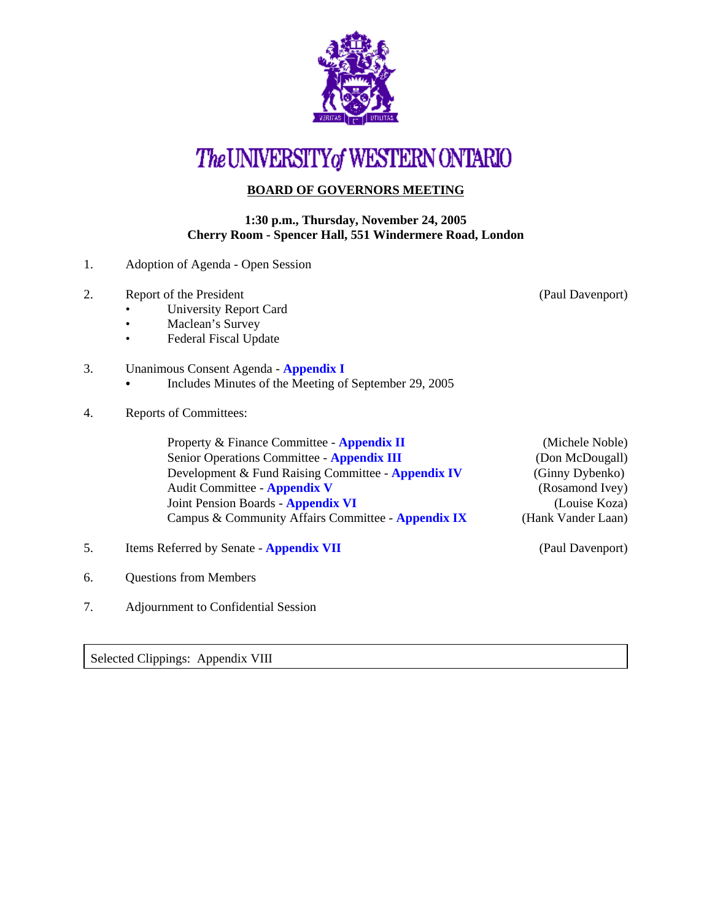

## The UNIVERSITY of WESTERN ONTARIO

## **BOARD OF GOVERNORS MEETING**

## **1:30 p.m., Thursday, November 24, 2005 Cherry Room - Spencer Hall, 551 Windermere Road, London**

- 1. Adoption of Agenda Open Session
- 2. Report of the President (Paul Davenport)
	- University Report Card
	- Maclean's Survey
	- Federal Fiscal Update
- 3. Unanimous Consent Agenda **[Appendix I](http://www.uwo.ca/univsec/board/minutes/2005/r0511consent.pdf)** 
	- Includes Minutes of the Meeting of September 29, 2005
- 4. Reports of Committees:

Property & Finance Committee - **[Appendix II](http://www.uwo.ca/univsec/board/minutes/2005/r0511pf.pdf)** (Michele Noble) Senior Operations Committee - **[Appendix III](http://www.uwo.ca/univsec/board/minutes/2005/r0511srops.pdf)** (Don McDougall) Development & Fund Raising Committee - **[Appendix IV](http://www.uwo.ca/univsec/board/minutes/2005/r0511dfr.pdf)** (Ginny Dybenko) Audit Committee - **[Appendix V](http://www.uwo.ca/univsec/board/minutes/2005/r0511aud.pdf)** (Rosamond Ivey) Joint Pension Boards - **[Appendix VI](http://www.uwo.ca/univsec/board/minutes/2005/r0511jtpens.pdf)** (Louise Koza) Campus & Community Affairs Committee - **[Appendix IX](http://www.uwo.ca/univsec/board/minutes/2005/r0511ccac.pdf)** (Hank Vander Laan)

- 5. Items Referred by Senate **[Appendix VII](http://www.uwo.ca/univsec/board/minutes/2005/r0511sen.pdf)** (Paul Davenport)
- 6. Questions from Members
- 7. Adjournment to Confidential Session

Selected Clippings: Appendix VIII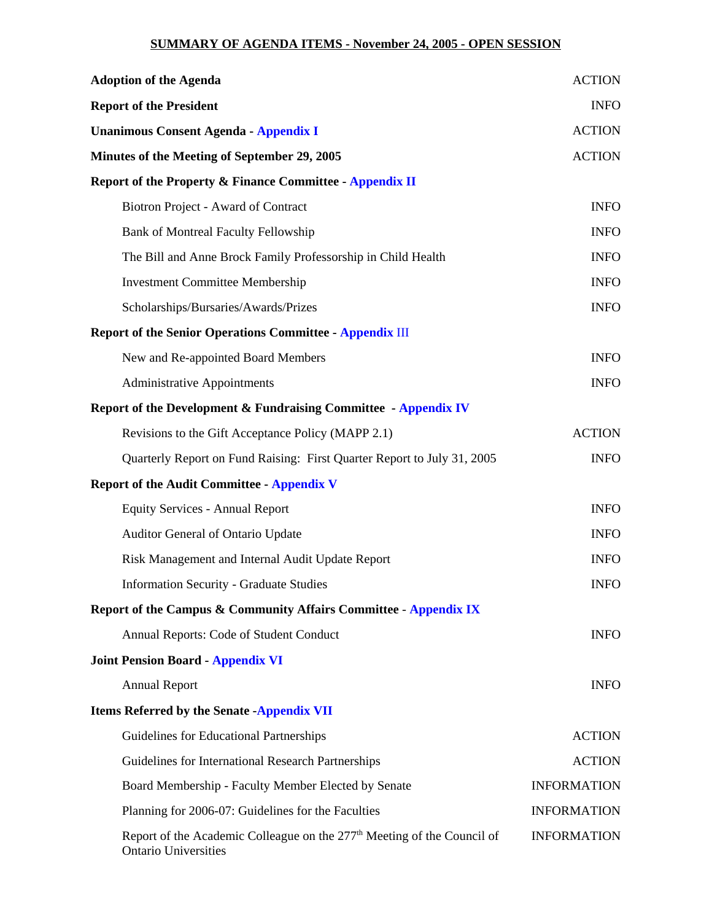## **SUMMARY OF AGENDA ITEMS - November 24, 2005 - OPEN SESSION**

| <b>Adoption of the Agenda</b>                                                                                      | <b>ACTION</b>      |
|--------------------------------------------------------------------------------------------------------------------|--------------------|
| <b>Report of the President</b>                                                                                     | <b>INFO</b>        |
| <b>Unanimous Consent Agenda - Appendix I</b>                                                                       | <b>ACTION</b>      |
| Minutes of the Meeting of September 29, 2005                                                                       | <b>ACTION</b>      |
| <b>Report of the Property &amp; Finance Committee - Appendix II</b>                                                |                    |
| Biotron Project - Award of Contract                                                                                | <b>INFO</b>        |
| <b>Bank of Montreal Faculty Fellowship</b>                                                                         | <b>INFO</b>        |
| The Bill and Anne Brock Family Professorship in Child Health                                                       | <b>INFO</b>        |
| <b>Investment Committee Membership</b>                                                                             | <b>INFO</b>        |
| Scholarships/Bursaries/Awards/Prizes                                                                               | <b>INFO</b>        |
| <b>Report of the Senior Operations Committee - Appendix III</b>                                                    |                    |
| New and Re-appointed Board Members                                                                                 | <b>INFO</b>        |
| <b>Administrative Appointments</b>                                                                                 | <b>INFO</b>        |
| Report of the Development & Fundraising Committee - Appendix IV                                                    |                    |
| Revisions to the Gift Acceptance Policy (MAPP 2.1)                                                                 | <b>ACTION</b>      |
| Quarterly Report on Fund Raising: First Quarter Report to July 31, 2005                                            | <b>INFO</b>        |
| <b>Report of the Audit Committee - Appendix V</b>                                                                  |                    |
| <b>Equity Services - Annual Report</b>                                                                             | <b>INFO</b>        |
| Auditor General of Ontario Update                                                                                  | <b>INFO</b>        |
| Risk Management and Internal Audit Update Report                                                                   | <b>INFO</b>        |
| <b>Information Security - Graduate Studies</b>                                                                     | <b>INFO</b>        |
| Report of the Campus & Community Affairs Committee - Appendix IX                                                   |                    |
| Annual Reports: Code of Student Conduct                                                                            | <b>INFO</b>        |
| <b>Joint Pension Board - Appendix VI</b>                                                                           |                    |
| <b>Annual Report</b>                                                                                               | <b>INFO</b>        |
| <b>Items Referred by the Senate -Appendix VII</b>                                                                  |                    |
| Guidelines for Educational Partnerships                                                                            | <b>ACTION</b>      |
| Guidelines for International Research Partnerships                                                                 | <b>ACTION</b>      |
| Board Membership - Faculty Member Elected by Senate                                                                | <b>INFORMATION</b> |
| Planning for 2006-07: Guidelines for the Faculties                                                                 | <b>INFORMATION</b> |
| Report of the Academic Colleague on the 277 <sup>th</sup> Meeting of the Council of<br><b>Ontario Universities</b> | <b>INFORMATION</b> |